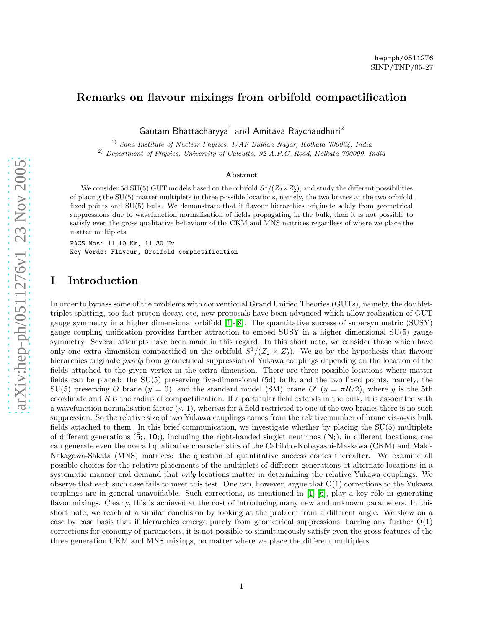hep-ph/0511276 SINP/TNP/05-27

Gautam Bhattacharyya $^1$  and Amitava Raychaudhuri $^2$ 

<sup>1)</sup> Saha Institute of Nuclear Physics,  $1/AF$  Bidhan Nagar, Kolkata 700064, India

<sup>2)</sup> Department of Physics, University of Calcutta, 92 A.P.C. Road, Kolkata 700009, India

#### Abstract

We consider 5d SU(5) GUT models based on the orbifold  $S^1/(Z_2 \times Z_2')$ , and study the different possibilities of placing the SU(5) matter multiplets in three possible locations, namely, the two branes at the two orbifold fixed points and SU(5) bulk. We demonstrate that if flavour hierarchies originate solely from geometrical suppressions due to wavefunction normalisation of fields propagating in the bulk, then it is not possible to satisfy even the gross qualitative behaviour of the CKM and MNS matrices regardless of where we place the matter multiplets.

PACS Nos: 11.10.Kk, 11.30.Hv Key Words: Flavour, Orbifold compactification

### I Introduction

In order to bypass some of the problems with conventional Grand Unified Theories (GUTs), namely, the doublettriplet splitting, too fast proton decay, etc, new proposals have been advanced which allow realization of GUT gauge symmetry in a higher dimensional orbifold [\[1\]](#page-3-0)-[\[8\]](#page-3-1). The quantitative success of supersymmetric (SUSY) gauge coupling unification provides further attraction to embed SUSY in a higher dimensional SU(5) gauge symmetry. Several attempts have been made in this regard. In this short note, we consider those which have only one extra dimension compactified on the orbifold  $S^1/(Z_2 \times Z_2')$ . We go by the hypothesis that flavour hierarchies originate purely from geometrical suppression of Yukawa couplings depending on the location of the fields attached to the given vertex in the extra dimension. There are three possible locations where matter fields can be placed: the SU(5) preserving five-dimensional (5d) bulk, and the two fixed points, namely, the SU(5) preserving O brane  $(y = 0)$ , and the standard model (SM) brane O'  $(y = \pi R/2)$ , where y is the 5th coordinate and  $R$  is the radius of compactification. If a particular field extends in the bulk, it is associated with a wavefunction normalisation factor  $(< 1$ ), whereas for a field restricted to one of the two branes there is no such suppression. So the relative size of two Yukawa couplings comes from the relative number of brane vis-a-vis bulk fields attached to them. In this brief communication, we investigate whether by placing the SU(5) multiplets of different generations  $(\bar{5}_i, 10_i)$ , including the right-handed singlet neutrinos  $(N_i)$ , in different locations, one can generate even the overall qualitative characteristics of the Cabibbo-Kobayashi-Maskawa (CKM) and Maki-Nakagawa-Sakata (MNS) matrices: the question of quantitative success comes thereafter. We examine all possible choices for the relative placements of the multiplets of different generations at alternate locations in a systematic manner and demand that *only* locations matter in determining the relative Yukawa couplings. We observe that each such case fails to meet this test. One can, however, argue that  $O(1)$  corrections to the Yukawa couplings are in general unavoidable. Such corrections, as mentioned in  $[1]$ - $[6]$ , play a key rôle in generating flavor mixings. Clearly, this is achieved at the cost of introducing many new and unknown parameters. In this short note, we reach at a similar conclusion by looking at the problem from a different angle. We show on a case by case basis that if hierarchies emerge purely from geometrical suppressions, barring any further O(1) corrections for economy of parameters, it is not possible to simultaneously satisfy even the gross features of the three generation CKM and MNS mixings, no matter where we place the different multiplets.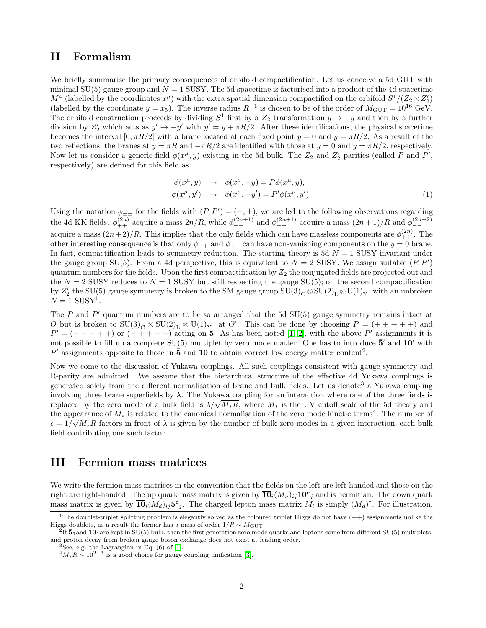# II Formalism

We briefly summarise the primary consequences of orbifold compactification. Let us conceive a 5d GUT with minimal  $SU(5)$  gauge group and  $N = 1$  SUSY. The 5d spacetime is factorised into a product of the 4d spacetime  $M^4$  (labelled by the coordinates  $x^{\mu}$ ) with the extra spatial dimension compactified on the orbifold  $S^1/(Z_2 \times Z_2')$ (labelled by the coordinate  $y = x_5$ ). The inverse radius  $R^{-1}$  is chosen to be of the order of  $M_{\text{GUT}} = 10^{16} \text{ GeV}$ . The orbifold construction proceeds by dividing  $S^1$  first by a  $Z_2$  transformation  $y \to -y$  and then by a further division by  $Z'_2$  which acts as  $y' \to -y'$  with  $y' = y + \pi R/2$ . After these identifications, the physical spacetime becomes the interval  $[0, \pi R/2]$  with a brane located at each fixed point  $y = 0$  and  $y = \pi R/2$ . As a result of the two reflections, the branes at  $y = \pi R$  and  $-\pi R/2$  are identified with those at  $y = 0$  and  $y = \pi R/2$ , respectively. Now let us consider a generic field  $\phi(x^{\mu}, y)$  existing in the 5d bulk. The  $Z_2$  and  $Z'_2$  parities (called P and P', respectively) are defined for this field as

$$
\begin{aligned}\n\phi(x^{\mu}, y) &\to \phi(x^{\mu}, -y) = P\phi(x^{\mu}, y), \\
\phi(x^{\mu}, y') &\to \phi(x^{\mu}, -y') = P'\phi(x^{\mu}, y').\n\end{aligned} \tag{1}
$$

Using the notation  $\phi_{\pm\pm}$  for the fields with  $(P, P') = (\pm, \pm)$ , we are led to the following observations regarding the 4d KK fields.  $\phi_{++}^{(2n)}$  acquire a mass  $2n/R$ , while  $\phi_{+-}^{(2n+1)}$  and  $\phi_{-+}^{(2n+1)}$  acquire a mass  $(2n+1)/R$  and  $\phi_{--}^{(2n+2)}$ acquire a mass  $(2n+2)/R$ . This implies that the only fields which can have massless components are  $\phi_{++}^{(2n)}$ . The other interesting consequence is that only  $\phi_{++}$  and  $\phi_{+-}$  can have non-vanishing components on the  $y = 0$  brane. In fact, compactification leads to symmetry reduction. The starting theory is 5d  $N = 1$  SUSY invariant under the gauge group SU(5). From a 4d perspective, this is equivalent to  $N = 2$  SUSY. We assign suitable  $(P, P')$ quantum numbers for the fields. Upon the first compactification by  $Z_2$  the conjugated fields are projected out and the  $N = 2$  SUSY reduces to  $N = 1$  SUSY but still respecting the gauge SU(5); on the second compactification by  $Z'_2$  the SU(5) gauge symmetry is broken to the SM gauge group  $SU(3)_{C} \otimes SU(2)_{L} \otimes U(1)_{Y}$  with an unbroken  $N = 1$  SUSY<sup>1</sup>.

The  $P$  and  $P'$  quantum numbers are to be so arranged that the 5d  $SU(5)$  gauge symmetry remains intact at O but is broken to  $SU(3)_C \otimes SU(2)_L \otimes U(1)_Y$  at O'. This can be done by choosing  $P = (+ + + + +)$  and  $P' = (--- + +)$  or  $(++ + - -)$  acting on 5. As has been noted [\[1,](#page-3-0) [2\]](#page-3-3), with the above P' assignments it is not possible to fill up a complete  $SU(5)$  multiplet by zero mode matter. One has to introduce  $\bar{5}'$  and  $10'$  with P' assignments opposite to those in  $\bar{5}$  and 10 to obtain correct low energy matter content<sup>2</sup>.

Now we come to the discussion of Yukawa couplings. All such couplings consistent with gauge symmetry and R-parity are admitted. We assume that the hierarchical structure of the effective 4d Yukawa couplings is generated solely from the different normalisation of brane and bulk fields. Let us denote<sup>3</sup> a Yukawa coupling involving three brane superfields by  $\lambda$ . The Yukawa coupling for an interaction where one of the three fields is replaced by the zero mode of a bulk field is  $\lambda/\sqrt{M_*R}$ , where  $M_*$  is the UV cutoff scale of the 5d theory and the appearance of  $M_*$  is related to the canonical normalisation of the zero mode kinetic terms<sup>4</sup>. The number of  $\epsilon = 1/\sqrt{M_*R}$  factors in front of  $\lambda$  is given by the number of bulk zero modes in a given interaction, each bulk field contributing one such factor.

# III Fermion mass matrices

We write the fermion mass matrices in the convention that the fields on the left are left-handed and those on the right are right-handed. The up quark mass matrix is given by  $\overline{10}_i(M_u)_{ij}10^{\text{c}}$  and is hermitian. The down quark mass matrix is given by  $\overline{\mathbf{10}}_i(M_d)_{ij}$   $\mathbf{5}^c{}_j$ . The charged lepton mass matrix  $M_l$  is simply  $(M_d)^{\dagger}$ . For illustration,

<sup>&</sup>lt;sup>1</sup>The doublet-triplet splitting problem is elegantly solved as the coloured triplet Higgs do not have  $(++)$  assignments unlike the Higgs doublets, as a result the former has a mass of order  $1/R \sim M_{\text{GUT}}$ .

 ${}^{2}$ If  $\bar{5}_1$  and  $10_1$  are kept in SU(5) bulk, then the first generation zero mode quarks and leptons come from different SU(5) multiplets, and proton decay from broken gauge boson exchange does not exist at leading order.

<sup>&</sup>lt;sup>3</sup>See, e.g. the Lagrangian in Eq.  $(6)$  of  $[1]$ .

 $^{4}M_{*}R \sim 10^{2-3}$  is a good choice for gauge coupling unification [\[3\]](#page-3-4).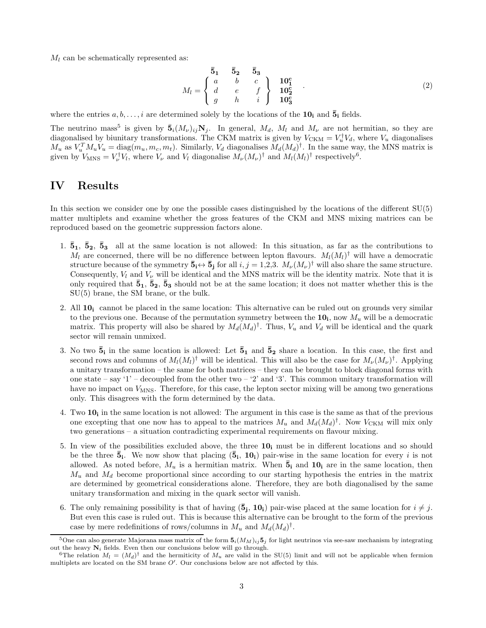$M_l$  can be schematically represented as:

$$
M_l = \begin{cases} 5_1 & 5_2 & 5_3 \\ a & b & c \\ d & e & f \\ g & h & i \end{cases} \begin{cases} 10_1^c \\ 10_2^c \\ 10_3^c \end{cases} . \tag{2}
$$

where the entries  $a, b, \ldots, i$  are determined solely by the locations of the  $10<sub>i</sub>$  and  $\bar{5}<sub>i</sub>$  fields.

The neutrino mass<sup>5</sup> is given by  $\bar{\bf 5}_i(M_\nu)_{ij}N_j$ . In general,  $M_d$ ,  $M_l$  and  $M_\nu$  are not hermitian, so they are diagonalised by biunitary transformations. The CKM matrix is given by  $V_{\text{CKM}} = V_u^{\dagger} V_d$ , where  $V_u$  diagonalises  $M_u$  as  $V_u^T M_u V_u = \text{diag}(m_u, m_c, m_t)$ . Similarly,  $V_d$  diagonalises  $M_d (M_d)^{\dagger}$ . In the same way, the MNS matrix is given by  $V_{\text{MNS}} = V_{\nu}^{\dagger} V_l$ , where  $V_{\nu}$  and  $V_l$  diagonalise  $M_{\nu}(M_{\nu})^{\dagger}$  and  $M_l(M_l)^{\dagger}$  respectively<sup>6</sup>.

### <span id="page-2-0"></span>IV Results

In this section we consider one by one the possible cases distinguished by the locations of the different SU(5) matter multiplets and examine whether the gross features of the CKM and MNS mixing matrices can be reproduced based on the geometric suppression factors alone.

- 1.  $\bar{5}_1$ ,  $\bar{5}_2$ ,  $\bar{5}_3$  all at the same location is not allowed: In this situation, as far as the contributions to  $M_l$  are concerned, there will be no difference between lepton flavours.  $M_l(M_l)^{\dagger}$  will have a democratic structure because of the symmetry  $\bar{\mathbf{5}}_i \leftrightarrow \bar{\mathbf{5}}_j$  for all  $i, j = 1,2,3$ .  $M_{\nu}(M_{\nu})^{\dagger}$  will also share the same structure. Consequently,  $V_l$  and  $V_\nu$  will be identical and the MNS matrix will be the identity matrix. Note that it is only required that  $\bar{5}_1$ ,  $\bar{5}_2$ ,  $\bar{5}_3$  should not be at the same location; it does not matter whether this is the SU(5) brane, the SM brane, or the bulk.
- 2. All  $10<sub>i</sub>$  cannot be placed in the same location: This alternative can be ruled out on grounds very similar to the previous one. Because of the permutation symmetry between the  $10<sub>i</sub>$ , now  $M<sub>u</sub>$  will be a democratic matrix. This property will also be shared by  $M_d(M_d)^{\dagger}$ . Thus,  $V_u$  and  $V_d$  will be identical and the quark sector will remain unmixed.
- 3. No two  $\bar{5}_i$  in the same location is allowed: Let  $\bar{5}_1$  and  $\bar{5}_2$  share a location. In this case, the first and second rows and columns of  $M_l(M_l)^{\dagger}$  will be identical. This will also be the case for  $M_{\nu}(M_{\nu})^{\dagger}$ . Applying a unitary transformation – the same for both matrices – they can be brought to block diagonal forms with one state – say '1' – decoupled from the other two – '2' and '3'. This common unitary transformation will have no impact on  $V_{\text{MNS}}$ . Therefore, for this case, the lepton sector mixing will be among two generations only. This disagrees with the form determined by the data.
- 4. Two  $10<sub>i</sub>$  in the same location is not allowed: The argument in this case is the same as that of the previous one excepting that one now has to appeal to the matrices  $M_u$  and  $M_d(M_d)^{\dagger}$ . Now  $V_{\text{CKM}}$  will mix only two generations – a situation contradicting experimental requirements on flavour mixing.
- 5. In view of the possibilities excluded above, the three  $10<sub>i</sub>$  must be in different locations and so should be the three  $\bar{5}_i$ . We now show that placing  $(\bar{5}_i, 10_i)$  pair-wise in the same location for every i is not allowed. As noted before,  $M_u$  is a hermitian matrix. When  $\bar{5}_i$  and  $10_i$  are in the same location, then  $M_u$  and  $M_d$  become proportional since according to our starting hypothesis the entries in the matrix are determined by geometrical considerations alone. Therefore, they are both diagonalised by the same unitary transformation and mixing in the quark sector will vanish.
- 6. The only remaining possibility is that of having  $(\bar{5}_j, 10_i)$  pair-wise placed at the same location for  $i \neq j$ . But even this case is ruled out. This is because this alternative can be brought to the form of the previous case by mere redefinitions of rows/columns in  $M_u$  and  $M_d(M_d)^\dagger$ .

<sup>&</sup>lt;sup>5</sup>One can also generate Majorana mass matrix of the form  $\bar{5}_i(M_M)_{ij}\bar{5}_j$  for light neutrinos via see-saw mechanism by integrating out the heavy  $N_i$  fields. Even then our conclusions below will go through.

<sup>&</sup>lt;sup>6</sup>The relation  $M_l = (M_d)^{\dagger}$  and the hermiticity of  $M_u$  are valid in the SU(5) limit and will not be applicable when fermion multiplets are located on the SM brane O′ . Our conclusions below are not affected by this.